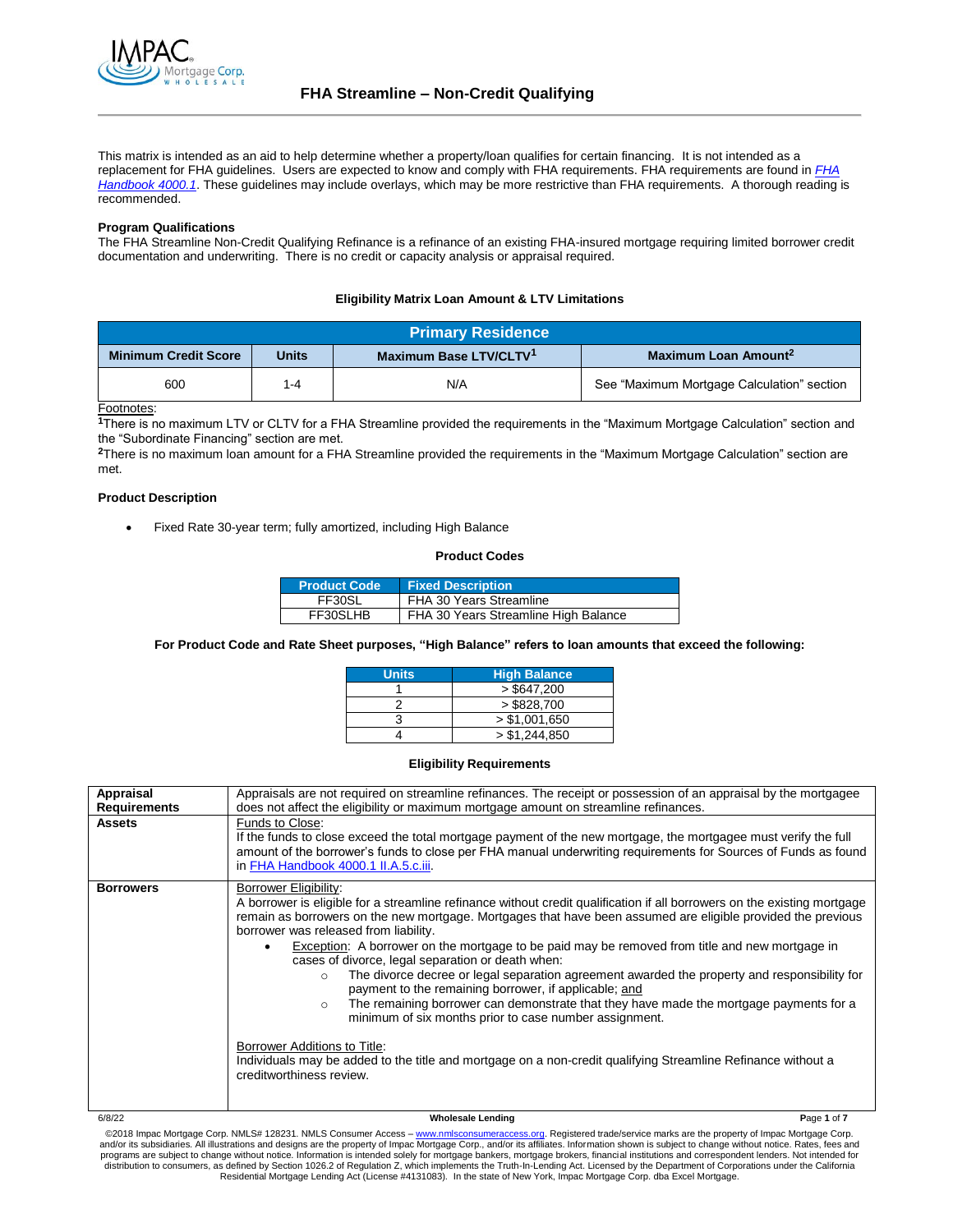

This matrix is intended as an aid to help determine whether a property/loan qualifies for certain financing. It is not intended as a replacement for FHA guidelines. Users are expected to know and comply with FHA requirements. FHA requirements are found in *[FHA](http://www.allregs.com/tpl/public/fha_freesite.aspx)  [Handbook 4000.1](http://www.allregs.com/tpl/public/fha_freesite.aspx)*. These guidelines may include overlays, which may be more restrictive than FHA requirements. A thorough reading is recommended.

### **Program Qualifications**

The FHA Streamline Non-Credit Qualifying Refinance is a refinance of an existing FHA-insured mortgage requiring limited borrower credit documentation and underwriting. There is no credit or capacity analysis or appraisal required.

## **Eligibility Matrix Loan Amount & LTV Limitations**

| <b>Primary Residence</b>                                              |         |                                  |                                            |
|-----------------------------------------------------------------------|---------|----------------------------------|--------------------------------------------|
| Maximum Base LTV/CLTV1<br><b>Minimum Credit Score</b><br><b>Units</b> |         | Maximum Loan Amount <sup>2</sup> |                                            |
| 600                                                                   | $1 - 4$ | N/A                              | See "Maximum Mortgage Calculation" section |

Footnotes:

**<sup>1</sup>**There is no maximum LTV or CLTV for a FHA Streamline provided the requirements in the "Maximum Mortgage Calculation" section and the "Subordinate Financing" section are met.

**<sup>2</sup>**There is no maximum loan amount for a FHA Streamline provided the requirements in the "Maximum Mortgage Calculation" section are met.

## **Product Description**

Fixed Rate 30-year term; fully amortized, including High Balance

## **Product Codes**

| <b>Product Code</b> | <b>Fixed Description</b>             |
|---------------------|--------------------------------------|
| FF30SL              | FHA 30 Years Streamline              |
| FF30SLHB            | FHA 30 Years Streamline High Balance |

### **For Product Code and Rate Sheet purposes, "High Balance" refers to loan amounts that exceed the following:**

| <b>Units</b>  | <b>High Balance</b> |  |
|---------------|---------------------|--|
|               | $>$ \$647.200       |  |
|               | $>$ \$828.700       |  |
| > \$1,001,650 |                     |  |
|               | > \$1,244,850       |  |

### **Eligibility Requirements**

| Appraisal           | Appraisals are not required on streamline refinances. The receipt or possession of an appraisal by the mortgagee                                                                                                                                                                                                                                                                                                                                                                                                                                                                                                                                                                                                                                                                                                                                                                                                                                                                        |  |  |  |
|---------------------|-----------------------------------------------------------------------------------------------------------------------------------------------------------------------------------------------------------------------------------------------------------------------------------------------------------------------------------------------------------------------------------------------------------------------------------------------------------------------------------------------------------------------------------------------------------------------------------------------------------------------------------------------------------------------------------------------------------------------------------------------------------------------------------------------------------------------------------------------------------------------------------------------------------------------------------------------------------------------------------------|--|--|--|
| <b>Requirements</b> | does not affect the eligibility or maximum mortgage amount on streamline refinances.                                                                                                                                                                                                                                                                                                                                                                                                                                                                                                                                                                                                                                                                                                                                                                                                                                                                                                    |  |  |  |
| <b>Assets</b>       | Funds to Close:<br>If the funds to close exceed the total mortgage payment of the new mortgage, the mortgagee must verify the full<br>amount of the borrower's funds to close per FHA manual underwriting requirements for Sources of Funds as found<br>in FHA Handbook 4000.1 II.A.5.c.iii.                                                                                                                                                                                                                                                                                                                                                                                                                                                                                                                                                                                                                                                                                            |  |  |  |
| <b>Borrowers</b>    | Borrower Eligibility:<br>A borrower is eligible for a streamline refinance without credit qualification if all borrowers on the existing mortgage<br>remain as borrowers on the new mortgage. Mortgages that have been assumed are eligible provided the previous<br>borrower was released from liability.<br><b>Exception:</b> A borrower on the mortgage to be paid may be removed from title and new mortgage in<br>cases of divorce, legal separation or death when:<br>The divorce decree or legal separation agreement awarded the property and responsibility for<br>$\circ$<br>payment to the remaining borrower, if applicable; and<br>The remaining borrower can demonstrate that they have made the mortgage payments for a<br>$\circ$<br>minimum of six months prior to case number assignment.<br>Borrower Additions to Title:<br>Individuals may be added to the title and mortgage on a non-credit qualifying Streamline Refinance without a<br>creditworthiness review. |  |  |  |

### 6/8/22 **Wholesale Lending P**age **1** of **7**

©2018 Impac Mortgage Corp. NMLS# 128231. NMLS Consumer Access - [www.nmlsconsumeraccess.org.](http://www.nmlsconsumeraccess.org/) Registered trade/service marks are the property of Impac Mortgage Corp. and/or its subsidiaries. All illustrations and designs are the property of Impac Mortgage Corp., and/or its affiliates. Information shown is subject to change without notice. Rates, fees and<br>programs are subject to change Residential Mortgage Lending Act (License #4131083). In the state of New York, Impac Mortgage Corp. dba Excel Mortgage.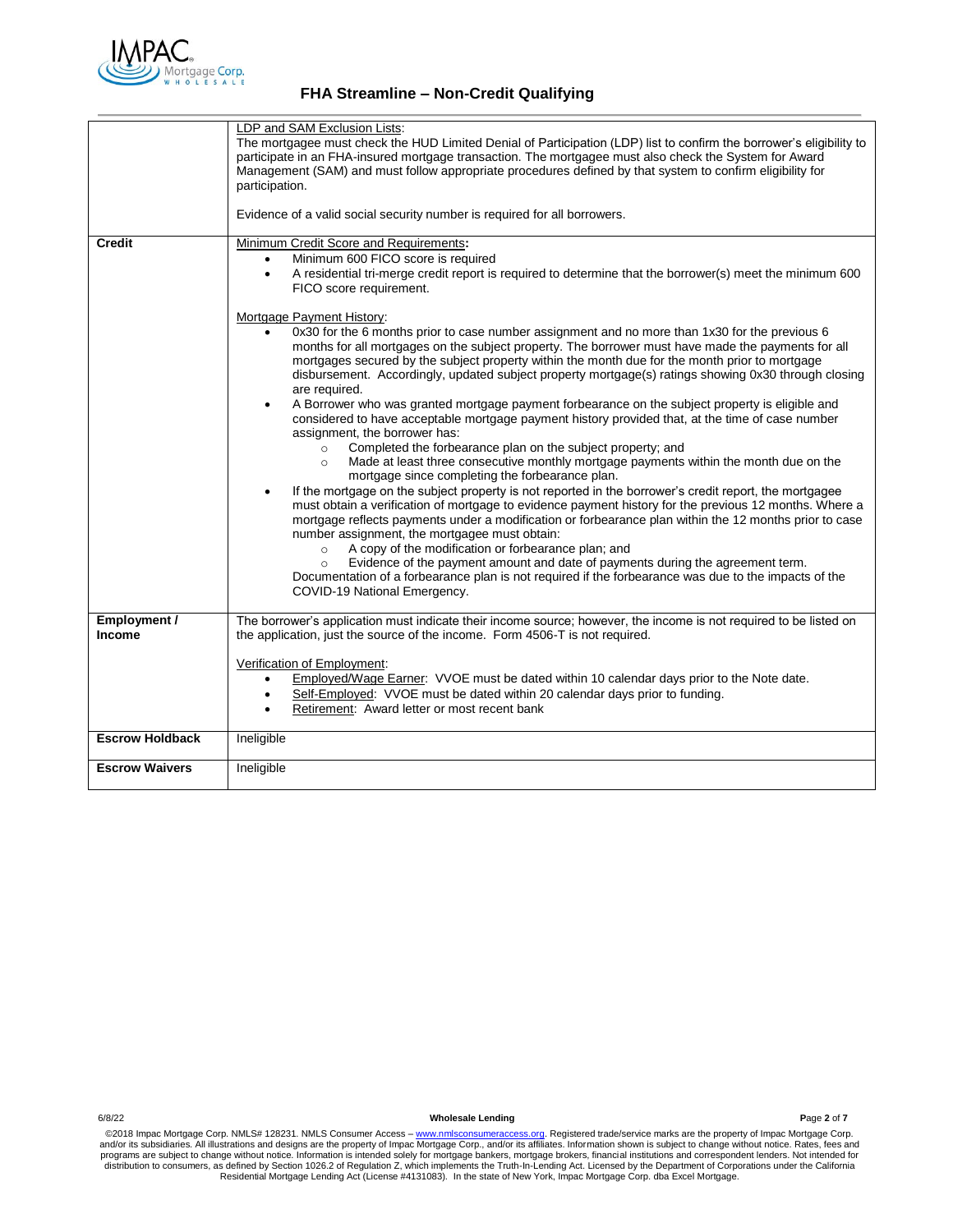

## **FHA Streamline – Non-Credit Qualifying**

|                        | LDP and SAM Exclusion Lists:<br>The mortgagee must check the HUD Limited Denial of Participation (LDP) list to confirm the borrower's eligibility to<br>participate in an FHA-insured mortgage transaction. The mortgagee must also check the System for Award<br>Management (SAM) and must follow appropriate procedures defined by that system to confirm eligibility for<br>participation.<br>Evidence of a valid social security number is required for all borrowers.                                                                                                                                                                                                                                                                                                                                                                                                                                                                                                                                                                                                                                                                                                                                                                                                                                                                                                                                                                                                                                                                                                                                                               |  |  |  |
|------------------------|------------------------------------------------------------------------------------------------------------------------------------------------------------------------------------------------------------------------------------------------------------------------------------------------------------------------------------------------------------------------------------------------------------------------------------------------------------------------------------------------------------------------------------------------------------------------------------------------------------------------------------------------------------------------------------------------------------------------------------------------------------------------------------------------------------------------------------------------------------------------------------------------------------------------------------------------------------------------------------------------------------------------------------------------------------------------------------------------------------------------------------------------------------------------------------------------------------------------------------------------------------------------------------------------------------------------------------------------------------------------------------------------------------------------------------------------------------------------------------------------------------------------------------------------------------------------------------------------------------------------------------------|--|--|--|
|                        |                                                                                                                                                                                                                                                                                                                                                                                                                                                                                                                                                                                                                                                                                                                                                                                                                                                                                                                                                                                                                                                                                                                                                                                                                                                                                                                                                                                                                                                                                                                                                                                                                                          |  |  |  |
| <b>Credit</b>          | Minimum Credit Score and Requirements:<br>Minimum 600 FICO score is required<br>$\bullet$<br>A residential tri-merge credit report is required to determine that the borrower(s) meet the minimum 600<br>$\bullet$<br>FICO score requirement.                                                                                                                                                                                                                                                                                                                                                                                                                                                                                                                                                                                                                                                                                                                                                                                                                                                                                                                                                                                                                                                                                                                                                                                                                                                                                                                                                                                            |  |  |  |
|                        | Mortgage Payment History:<br>0x30 for the 6 months prior to case number assignment and no more than 1x30 for the previous 6<br>months for all mortgages on the subject property. The borrower must have made the payments for all<br>mortgages secured by the subject property within the month due for the month prior to mortgage<br>disbursement. Accordingly, updated subject property mortgage(s) ratings showing 0x30 through closing<br>are required.<br>A Borrower who was granted mortgage payment forbearance on the subject property is eligible and<br>considered to have acceptable mortgage payment history provided that, at the time of case number<br>assignment, the borrower has:<br>Completed the forbearance plan on the subject property; and<br>$\circ$<br>Made at least three consecutive monthly mortgage payments within the month due on the<br>$\circ$<br>mortgage since completing the forbearance plan.<br>If the mortgage on the subject property is not reported in the borrower's credit report, the mortgagee<br>$\bullet$<br>must obtain a verification of mortgage to evidence payment history for the previous 12 months. Where a<br>mortgage reflects payments under a modification or forbearance plan within the 12 months prior to case<br>number assignment, the mortgagee must obtain:<br>A copy of the modification or forbearance plan; and<br>$\circ$<br>Evidence of the payment amount and date of payments during the agreement term.<br>$\circ$<br>Documentation of a forbearance plan is not required if the forbearance was due to the impacts of the<br>COVID-19 National Emergency. |  |  |  |
| Employment /           | The borrower's application must indicate their income source; however, the income is not required to be listed on                                                                                                                                                                                                                                                                                                                                                                                                                                                                                                                                                                                                                                                                                                                                                                                                                                                                                                                                                                                                                                                                                                                                                                                                                                                                                                                                                                                                                                                                                                                        |  |  |  |
| <b>Income</b>          | the application, just the source of the income. Form 4506-T is not required.                                                                                                                                                                                                                                                                                                                                                                                                                                                                                                                                                                                                                                                                                                                                                                                                                                                                                                                                                                                                                                                                                                                                                                                                                                                                                                                                                                                                                                                                                                                                                             |  |  |  |
|                        | Verification of Employment:<br>Employed/Wage Earner: VVOE must be dated within 10 calendar days prior to the Note date.<br>$\bullet$<br>Self-Employed: VVOE must be dated within 20 calendar days prior to funding.<br>$\bullet$<br>Retirement: Award letter or most recent bank<br>$\bullet$                                                                                                                                                                                                                                                                                                                                                                                                                                                                                                                                                                                                                                                                                                                                                                                                                                                                                                                                                                                                                                                                                                                                                                                                                                                                                                                                            |  |  |  |
| <b>Escrow Holdback</b> | Ineligible                                                                                                                                                                                                                                                                                                                                                                                                                                                                                                                                                                                                                                                                                                                                                                                                                                                                                                                                                                                                                                                                                                                                                                                                                                                                                                                                                                                                                                                                                                                                                                                                                               |  |  |  |
| <b>Escrow Waivers</b>  | Ineligible                                                                                                                                                                                                                                                                                                                                                                                                                                                                                                                                                                                                                                                                                                                                                                                                                                                                                                                                                                                                                                                                                                                                                                                                                                                                                                                                                                                                                                                                                                                                                                                                                               |  |  |  |
|                        |                                                                                                                                                                                                                                                                                                                                                                                                                                                                                                                                                                                                                                                                                                                                                                                                                                                                                                                                                                                                                                                                                                                                                                                                                                                                                                                                                                                                                                                                                                                                                                                                                                          |  |  |  |

6/8/22 **Wholesale Lending P**age **2** of **7**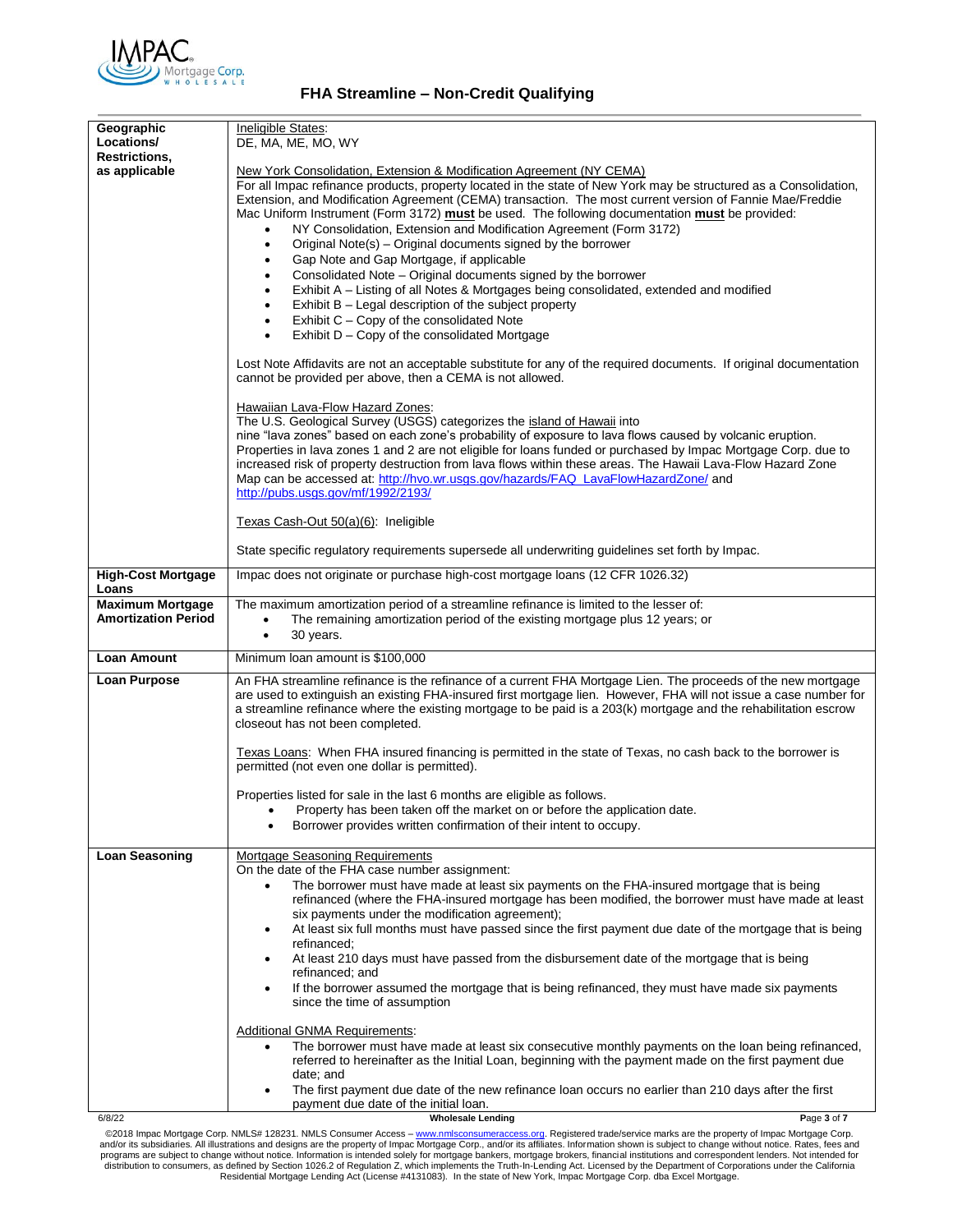

| Geographic<br>Locations/                              | Ineligible States:<br>DE, MA, ME, MO, WY                                                                                                                                                                                                                                                                                                                                                                                                                                                                                                                                                                                                                                                                                                                                                                                                                                                                                                                                                  |  |  |  |
|-------------------------------------------------------|-------------------------------------------------------------------------------------------------------------------------------------------------------------------------------------------------------------------------------------------------------------------------------------------------------------------------------------------------------------------------------------------------------------------------------------------------------------------------------------------------------------------------------------------------------------------------------------------------------------------------------------------------------------------------------------------------------------------------------------------------------------------------------------------------------------------------------------------------------------------------------------------------------------------------------------------------------------------------------------------|--|--|--|
| <b>Restrictions,</b>                                  |                                                                                                                                                                                                                                                                                                                                                                                                                                                                                                                                                                                                                                                                                                                                                                                                                                                                                                                                                                                           |  |  |  |
| as applicable                                         | New York Consolidation, Extension & Modification Agreement (NY CEMA)<br>For all Impac refinance products, property located in the state of New York may be structured as a Consolidation,<br>Extension, and Modification Agreement (CEMA) transaction. The most current version of Fannie Mae/Freddie<br>Mac Uniform Instrument (Form 3172) must be used. The following documentation must be provided:<br>NY Consolidation, Extension and Modification Agreement (Form 3172)<br>Original Note(s) – Original documents signed by the borrower<br>$\bullet$<br>Gap Note and Gap Mortgage, if applicable<br>Consolidated Note - Original documents signed by the borrower<br>$\bullet$<br>Exhibit A – Listing of all Notes & Mortgages being consolidated, extended and modified<br>$\bullet$<br>Exhibit B – Legal description of the subject property<br>$\bullet$<br>Exhibit C – Copy of the consolidated Note<br>$\bullet$<br>Exhibit D - Copy of the consolidated Mortgage<br>$\bullet$ |  |  |  |
|                                                       | Lost Note Affidavits are not an acceptable substitute for any of the required documents. If original documentation<br>cannot be provided per above, then a CEMA is not allowed.                                                                                                                                                                                                                                                                                                                                                                                                                                                                                                                                                                                                                                                                                                                                                                                                           |  |  |  |
|                                                       | Hawaiian Lava-Flow Hazard Zones:<br>The U.S. Geological Survey (USGS) categorizes the island of Hawaii into<br>nine "lava zones" based on each zone's probability of exposure to lava flows caused by volcanic eruption.<br>Properties in lava zones 1 and 2 are not eligible for loans funded or purchased by Impac Mortgage Corp. due to<br>increased risk of property destruction from lava flows within these areas. The Hawaii Lava-Flow Hazard Zone<br>Map can be accessed at: http://hvo.wr.usgs.gov/hazards/FAQ_LavaFlowHazardZone/ and<br>http://pubs.usgs.gov/mf/1992/2193/                                                                                                                                                                                                                                                                                                                                                                                                     |  |  |  |
|                                                       | Texas Cash-Out 50(a)(6): Ineligible                                                                                                                                                                                                                                                                                                                                                                                                                                                                                                                                                                                                                                                                                                                                                                                                                                                                                                                                                       |  |  |  |
|                                                       | State specific regulatory requirements supersede all underwriting guidelines set forth by Impac.                                                                                                                                                                                                                                                                                                                                                                                                                                                                                                                                                                                                                                                                                                                                                                                                                                                                                          |  |  |  |
| <b>High-Cost Mortgage</b><br>Loans                    | Impac does not originate or purchase high-cost mortgage loans (12 CFR 1026.32)                                                                                                                                                                                                                                                                                                                                                                                                                                                                                                                                                                                                                                                                                                                                                                                                                                                                                                            |  |  |  |
| <b>Maximum Mortgage</b><br><b>Amortization Period</b> | The maximum amortization period of a streamline refinance is limited to the lesser of:<br>The remaining amortization period of the existing mortgage plus 12 years; or<br>$\bullet$<br>30 years.<br>$\bullet$                                                                                                                                                                                                                                                                                                                                                                                                                                                                                                                                                                                                                                                                                                                                                                             |  |  |  |
| <b>Loan Amount</b>                                    | Minimum Ioan amount is \$100,000                                                                                                                                                                                                                                                                                                                                                                                                                                                                                                                                                                                                                                                                                                                                                                                                                                                                                                                                                          |  |  |  |
| <b>Loan Purpose</b>                                   | An FHA streamline refinance is the refinance of a current FHA Mortgage Lien. The proceeds of the new mortgage<br>are used to extinguish an existing FHA-insured first mortgage lien. However, FHA will not issue a case number for<br>a streamline refinance where the existing mortgage to be paid is a 203(k) mortgage and the rehabilitation escrow<br>closeout has not been completed.<br>Texas Loans: When FHA insured financing is permitted in the state of Texas, no cash back to the borrower is<br>permitted (not even one dollar is permitted).                                                                                                                                                                                                                                                                                                                                                                                                                                |  |  |  |
|                                                       | Properties listed for sale in the last 6 months are eligible as follows.<br>Property has been taken off the market on or before the application date.<br>$\bullet$<br>Borrower provides written confirmation of their intent to occupy.                                                                                                                                                                                                                                                                                                                                                                                                                                                                                                                                                                                                                                                                                                                                                   |  |  |  |
| <b>Loan Seasoning</b>                                 | Mortgage Seasoning Requirements<br>On the date of the FHA case number assignment:<br>The borrower must have made at least six payments on the FHA-insured mortgage that is being<br>refinanced (where the FHA-insured mortgage has been modified, the borrower must have made at least<br>six payments under the modification agreement);<br>At least six full months must have passed since the first payment due date of the mortgage that is being<br>$\bullet$<br>refinanced:<br>At least 210 days must have passed from the disbursement date of the mortgage that is being<br>٠<br>refinanced; and<br>If the borrower assumed the mortgage that is being refinanced, they must have made six payments<br>$\bullet$<br>since the time of assumption<br><b>Additional GNMA Requirements:</b>                                                                                                                                                                                          |  |  |  |
|                                                       | The borrower must have made at least six consecutive monthly payments on the loan being refinanced,<br>referred to hereinafter as the Initial Loan, beginning with the payment made on the first payment due                                                                                                                                                                                                                                                                                                                                                                                                                                                                                                                                                                                                                                                                                                                                                                              |  |  |  |
|                                                       | date; and                                                                                                                                                                                                                                                                                                                                                                                                                                                                                                                                                                                                                                                                                                                                                                                                                                                                                                                                                                                 |  |  |  |
| 6/8/22                                                | The first payment due date of the new refinance loan occurs no earlier than 210 days after the first<br>$\bullet$<br>payment due date of the initial loan.<br><b>Wholesale Lending</b><br>Page 3 of 7                                                                                                                                                                                                                                                                                                                                                                                                                                                                                                                                                                                                                                                                                                                                                                                     |  |  |  |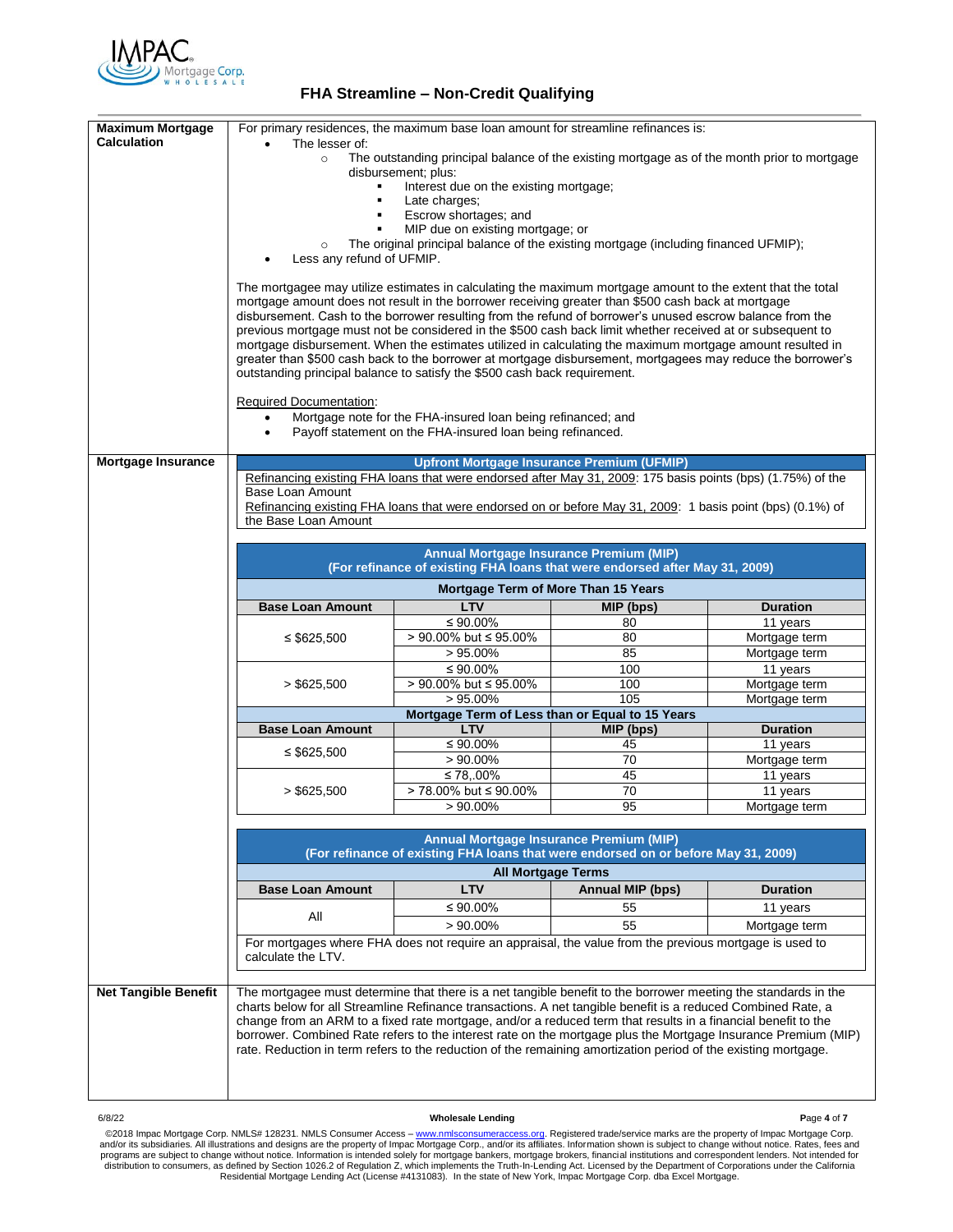

## **FHA Streamline – Non-Credit Qualifying**

| <b>Maximum Mortgage</b>     | For primary residences, the maximum base loan amount for streamline refinances is:                                                                                                                                                                                                                                                                                                                                                                                                                                                                                                                                                                                                                                                                    |                                                                                                                                                                                                                                                                                                                                                                                                                                                                                                                                                                                    |                         |                 |
|-----------------------------|-------------------------------------------------------------------------------------------------------------------------------------------------------------------------------------------------------------------------------------------------------------------------------------------------------------------------------------------------------------------------------------------------------------------------------------------------------------------------------------------------------------------------------------------------------------------------------------------------------------------------------------------------------------------------------------------------------------------------------------------------------|------------------------------------------------------------------------------------------------------------------------------------------------------------------------------------------------------------------------------------------------------------------------------------------------------------------------------------------------------------------------------------------------------------------------------------------------------------------------------------------------------------------------------------------------------------------------------------|-------------------------|-----------------|
| <b>Calculation</b>          | The lesser of:                                                                                                                                                                                                                                                                                                                                                                                                                                                                                                                                                                                                                                                                                                                                        |                                                                                                                                                                                                                                                                                                                                                                                                                                                                                                                                                                                    |                         |                 |
|                             | The outstanding principal balance of the existing mortgage as of the month prior to mortgage<br>$\circ$                                                                                                                                                                                                                                                                                                                                                                                                                                                                                                                                                                                                                                               |                                                                                                                                                                                                                                                                                                                                                                                                                                                                                                                                                                                    |                         |                 |
|                             | disbursement; plus:                                                                                                                                                                                                                                                                                                                                                                                                                                                                                                                                                                                                                                                                                                                                   |                                                                                                                                                                                                                                                                                                                                                                                                                                                                                                                                                                                    |                         |                 |
|                             | Interest due on the existing mortgage;                                                                                                                                                                                                                                                                                                                                                                                                                                                                                                                                                                                                                                                                                                                |                                                                                                                                                                                                                                                                                                                                                                                                                                                                                                                                                                                    |                         |                 |
|                             |                                                                                                                                                                                                                                                                                                                                                                                                                                                                                                                                                                                                                                                                                                                                                       | Late charges;                                                                                                                                                                                                                                                                                                                                                                                                                                                                                                                                                                      |                         |                 |
|                             |                                                                                                                                                                                                                                                                                                                                                                                                                                                                                                                                                                                                                                                                                                                                                       | Escrow shortages; and                                                                                                                                                                                                                                                                                                                                                                                                                                                                                                                                                              |                         |                 |
|                             |                                                                                                                                                                                                                                                                                                                                                                                                                                                                                                                                                                                                                                                                                                                                                       | MIP due on existing mortgage; or                                                                                                                                                                                                                                                                                                                                                                                                                                                                                                                                                   |                         |                 |
|                             | $\circ$                                                                                                                                                                                                                                                                                                                                                                                                                                                                                                                                                                                                                                                                                                                                               | The original principal balance of the existing mortgage (including financed UFMIP);                                                                                                                                                                                                                                                                                                                                                                                                                                                                                                |                         |                 |
|                             | Less any refund of UFMIP.                                                                                                                                                                                                                                                                                                                                                                                                                                                                                                                                                                                                                                                                                                                             |                                                                                                                                                                                                                                                                                                                                                                                                                                                                                                                                                                                    |                         |                 |
|                             | The mortgagee may utilize estimates in calculating the maximum mortgage amount to the extent that the total<br>mortgage amount does not result in the borrower receiving greater than \$500 cash back at mortgage<br>disbursement. Cash to the borrower resulting from the refund of borrower's unused escrow balance from the<br>previous mortgage must not be considered in the \$500 cash back limit whether received at or subsequent to<br>mortgage disbursement. When the estimates utilized in calculating the maximum mortgage amount resulted in<br>greater than \$500 cash back to the borrower at mortgage disbursement, mortgagees may reduce the borrower's<br>outstanding principal balance to satisfy the \$500 cash back requirement. |                                                                                                                                                                                                                                                                                                                                                                                                                                                                                                                                                                                    |                         |                 |
|                             | <b>Required Documentation:</b>                                                                                                                                                                                                                                                                                                                                                                                                                                                                                                                                                                                                                                                                                                                        |                                                                                                                                                                                                                                                                                                                                                                                                                                                                                                                                                                                    |                         |                 |
|                             |                                                                                                                                                                                                                                                                                                                                                                                                                                                                                                                                                                                                                                                                                                                                                       | Mortgage note for the FHA-insured loan being refinanced; and                                                                                                                                                                                                                                                                                                                                                                                                                                                                                                                       |                         |                 |
|                             | $\bullet$                                                                                                                                                                                                                                                                                                                                                                                                                                                                                                                                                                                                                                                                                                                                             | Payoff statement on the FHA-insured loan being refinanced.                                                                                                                                                                                                                                                                                                                                                                                                                                                                                                                         |                         |                 |
|                             |                                                                                                                                                                                                                                                                                                                                                                                                                                                                                                                                                                                                                                                                                                                                                       |                                                                                                                                                                                                                                                                                                                                                                                                                                                                                                                                                                                    |                         |                 |
| <b>Mortgage Insurance</b>   |                                                                                                                                                                                                                                                                                                                                                                                                                                                                                                                                                                                                                                                                                                                                                       | <b>Upfront Mortgage Insurance Premium (UFMIP)</b>                                                                                                                                                                                                                                                                                                                                                                                                                                                                                                                                  |                         |                 |
|                             |                                                                                                                                                                                                                                                                                                                                                                                                                                                                                                                                                                                                                                                                                                                                                       | Refinancing existing FHA loans that were endorsed after May 31, 2009: 175 basis points (bps) (1.75%) of the                                                                                                                                                                                                                                                                                                                                                                                                                                                                        |                         |                 |
|                             | Base Loan Amount                                                                                                                                                                                                                                                                                                                                                                                                                                                                                                                                                                                                                                                                                                                                      |                                                                                                                                                                                                                                                                                                                                                                                                                                                                                                                                                                                    |                         |                 |
|                             |                                                                                                                                                                                                                                                                                                                                                                                                                                                                                                                                                                                                                                                                                                                                                       | Refinancing existing FHA loans that were endorsed on or before May 31, 2009: 1 basis point (bps) (0.1%) of                                                                                                                                                                                                                                                                                                                                                                                                                                                                         |                         |                 |
|                             | the Base Loan Amount                                                                                                                                                                                                                                                                                                                                                                                                                                                                                                                                                                                                                                                                                                                                  |                                                                                                                                                                                                                                                                                                                                                                                                                                                                                                                                                                                    |                         |                 |
|                             |                                                                                                                                                                                                                                                                                                                                                                                                                                                                                                                                                                                                                                                                                                                                                       |                                                                                                                                                                                                                                                                                                                                                                                                                                                                                                                                                                                    |                         |                 |
|                             |                                                                                                                                                                                                                                                                                                                                                                                                                                                                                                                                                                                                                                                                                                                                                       | Annual Mortgage Insurance Premium (MIP)                                                                                                                                                                                                                                                                                                                                                                                                                                                                                                                                            |                         |                 |
|                             |                                                                                                                                                                                                                                                                                                                                                                                                                                                                                                                                                                                                                                                                                                                                                       | (For refinance of existing FHA loans that were endorsed after May 31, 2009)                                                                                                                                                                                                                                                                                                                                                                                                                                                                                                        |                         |                 |
|                             |                                                                                                                                                                                                                                                                                                                                                                                                                                                                                                                                                                                                                                                                                                                                                       | Mortgage Term of More Than 15 Years                                                                                                                                                                                                                                                                                                                                                                                                                                                                                                                                                |                         |                 |
|                             | <b>Base Loan Amount</b>                                                                                                                                                                                                                                                                                                                                                                                                                                                                                                                                                                                                                                                                                                                               | <b>LTV</b>                                                                                                                                                                                                                                                                                                                                                                                                                                                                                                                                                                         | MIP (bps)               | <b>Duration</b> |
|                             |                                                                                                                                                                                                                                                                                                                                                                                                                                                                                                                                                                                                                                                                                                                                                       | ≤ 90.00%                                                                                                                                                                                                                                                                                                                                                                                                                                                                                                                                                                           | 80                      | 11 years        |
|                             | ≤ \$625,500                                                                                                                                                                                                                                                                                                                                                                                                                                                                                                                                                                                                                                                                                                                                           | > 90.00% but ≤ 95.00%                                                                                                                                                                                                                                                                                                                                                                                                                                                                                                                                                              | 80                      | Mortgage term   |
|                             |                                                                                                                                                                                                                                                                                                                                                                                                                                                                                                                                                                                                                                                                                                                                                       | $>95.00\%$                                                                                                                                                                                                                                                                                                                                                                                                                                                                                                                                                                         | 85                      | Mortgage term   |
|                             |                                                                                                                                                                                                                                                                                                                                                                                                                                                                                                                                                                                                                                                                                                                                                       | $≤ 90.00\%$                                                                                                                                                                                                                                                                                                                                                                                                                                                                                                                                                                        | 100                     | 11 years        |
|                             | $>$ \$625,500                                                                                                                                                                                                                                                                                                                                                                                                                                                                                                                                                                                                                                                                                                                                         | > 90.00% but ≤ 95.00%                                                                                                                                                                                                                                                                                                                                                                                                                                                                                                                                                              | 100                     | Mortgage term   |
|                             |                                                                                                                                                                                                                                                                                                                                                                                                                                                                                                                                                                                                                                                                                                                                                       | $>95.00\%$                                                                                                                                                                                                                                                                                                                                                                                                                                                                                                                                                                         | 105                     | Mortgage term   |
|                             |                                                                                                                                                                                                                                                                                                                                                                                                                                                                                                                                                                                                                                                                                                                                                       | Mortgage Term of Less than or Equal to 15 Years                                                                                                                                                                                                                                                                                                                                                                                                                                                                                                                                    |                         |                 |
|                             | <b>Base Loan Amount</b>                                                                                                                                                                                                                                                                                                                                                                                                                                                                                                                                                                                                                                                                                                                               | <b>LTV</b>                                                                                                                                                                                                                                                                                                                                                                                                                                                                                                                                                                         | MIP (bps)               | <b>Duration</b> |
|                             | ≤ \$625,500                                                                                                                                                                                                                                                                                                                                                                                                                                                                                                                                                                                                                                                                                                                                           | ≤ 90.00%                                                                                                                                                                                                                                                                                                                                                                                                                                                                                                                                                                           | 45                      | 11 years        |
|                             |                                                                                                                                                                                                                                                                                                                                                                                                                                                                                                                                                                                                                                                                                                                                                       | $> 90.00\%$                                                                                                                                                                                                                                                                                                                                                                                                                                                                                                                                                                        | 70                      | Mortgage term   |
|                             |                                                                                                                                                                                                                                                                                                                                                                                                                                                                                                                                                                                                                                                                                                                                                       | ≤ 78,.00%                                                                                                                                                                                                                                                                                                                                                                                                                                                                                                                                                                          | 45                      | 11 years        |
|                             | $>$ \$625,500                                                                                                                                                                                                                                                                                                                                                                                                                                                                                                                                                                                                                                                                                                                                         | > 78.00% but ≤ 90.00%                                                                                                                                                                                                                                                                                                                                                                                                                                                                                                                                                              | $\overline{70}$         | 11 years        |
|                             |                                                                                                                                                                                                                                                                                                                                                                                                                                                                                                                                                                                                                                                                                                                                                       | $> 90.00\%$                                                                                                                                                                                                                                                                                                                                                                                                                                                                                                                                                                        | 95                      | Mortgage term   |
|                             |                                                                                                                                                                                                                                                                                                                                                                                                                                                                                                                                                                                                                                                                                                                                                       |                                                                                                                                                                                                                                                                                                                                                                                                                                                                                                                                                                                    |                         |                 |
|                             |                                                                                                                                                                                                                                                                                                                                                                                                                                                                                                                                                                                                                                                                                                                                                       | Annual Mortgage Insurance Premium (MIP)                                                                                                                                                                                                                                                                                                                                                                                                                                                                                                                                            |                         |                 |
|                             |                                                                                                                                                                                                                                                                                                                                                                                                                                                                                                                                                                                                                                                                                                                                                       | (For refinance of existing FHA loans that were endorsed on or before May 31, 2009)                                                                                                                                                                                                                                                                                                                                                                                                                                                                                                 |                         |                 |
|                             |                                                                                                                                                                                                                                                                                                                                                                                                                                                                                                                                                                                                                                                                                                                                                       | <b>All Mortgage Terms</b>                                                                                                                                                                                                                                                                                                                                                                                                                                                                                                                                                          |                         |                 |
|                             | <b>Base Loan Amount</b>                                                                                                                                                                                                                                                                                                                                                                                                                                                                                                                                                                                                                                                                                                                               | LTV                                                                                                                                                                                                                                                                                                                                                                                                                                                                                                                                                                                | <b>Annual MIP (bps)</b> | <b>Duration</b> |
|                             |                                                                                                                                                                                                                                                                                                                                                                                                                                                                                                                                                                                                                                                                                                                                                       | ≤ 90.00%                                                                                                                                                                                                                                                                                                                                                                                                                                                                                                                                                                           | 55                      | 11 years        |
|                             | All                                                                                                                                                                                                                                                                                                                                                                                                                                                                                                                                                                                                                                                                                                                                                   | $> 90.00\%$                                                                                                                                                                                                                                                                                                                                                                                                                                                                                                                                                                        | 55                      | Mortgage term   |
|                             |                                                                                                                                                                                                                                                                                                                                                                                                                                                                                                                                                                                                                                                                                                                                                       | For mortgages where FHA does not require an appraisal, the value from the previous mortgage is used to                                                                                                                                                                                                                                                                                                                                                                                                                                                                             |                         |                 |
|                             | calculate the LTV.                                                                                                                                                                                                                                                                                                                                                                                                                                                                                                                                                                                                                                                                                                                                    |                                                                                                                                                                                                                                                                                                                                                                                                                                                                                                                                                                                    |                         |                 |
|                             |                                                                                                                                                                                                                                                                                                                                                                                                                                                                                                                                                                                                                                                                                                                                                       |                                                                                                                                                                                                                                                                                                                                                                                                                                                                                                                                                                                    |                         |                 |
| <b>Net Tangible Benefit</b> |                                                                                                                                                                                                                                                                                                                                                                                                                                                                                                                                                                                                                                                                                                                                                       | The mortgagee must determine that there is a net tangible benefit to the borrower meeting the standards in the<br>charts below for all Streamline Refinance transactions. A net tangible benefit is a reduced Combined Rate, a<br>change from an ARM to a fixed rate mortgage, and/or a reduced term that results in a financial benefit to the<br>borrower. Combined Rate refers to the interest rate on the mortgage plus the Mortgage Insurance Premium (MIP)<br>rate. Reduction in term refers to the reduction of the remaining amortization period of the existing mortgage. |                         |                 |
|                             |                                                                                                                                                                                                                                                                                                                                                                                                                                                                                                                                                                                                                                                                                                                                                       |                                                                                                                                                                                                                                                                                                                                                                                                                                                                                                                                                                                    |                         |                 |

### 6/8/22 **Wholesale Lending P**age **4** of **7**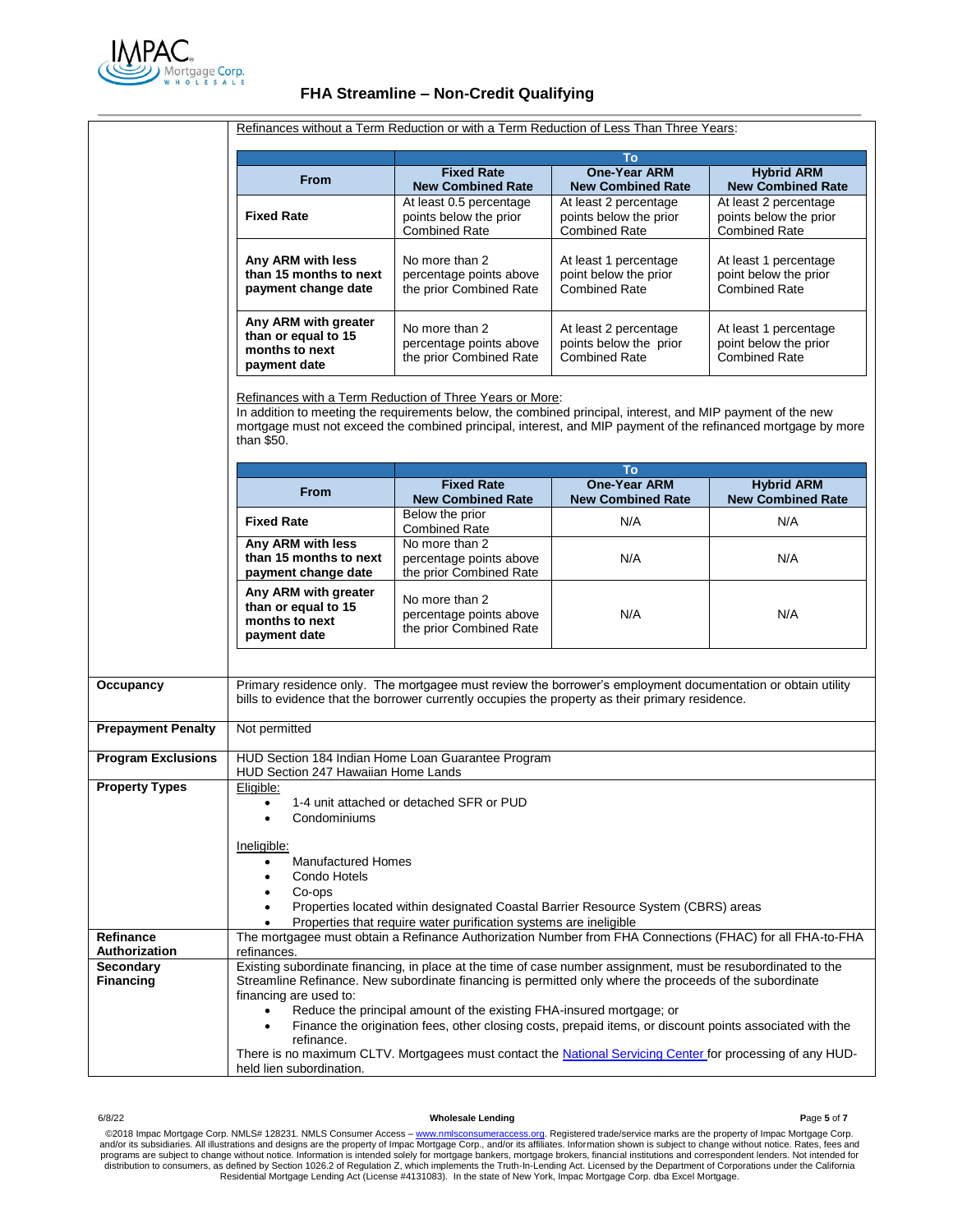

|                                                                               | Refinances without a Term Reduction or with a Term Reduction of Less Than Three Years:                                                                                                                                                                                                                 |                                                                           |                                                                         |                                                                                                           |  |
|-------------------------------------------------------------------------------|--------------------------------------------------------------------------------------------------------------------------------------------------------------------------------------------------------------------------------------------------------------------------------------------------------|---------------------------------------------------------------------------|-------------------------------------------------------------------------|-----------------------------------------------------------------------------------------------------------|--|
|                                                                               |                                                                                                                                                                                                                                                                                                        | <b>To</b>                                                                 |                                                                         |                                                                                                           |  |
|                                                                               | <b>From</b>                                                                                                                                                                                                                                                                                            |                                                                           | <b>One-Year ARM</b><br><b>New Combined Rate</b>                         | <b>Hybrid ARM</b><br><b>New Combined Rate</b>                                                             |  |
| <b>Fixed Rate</b>                                                             |                                                                                                                                                                                                                                                                                                        | At least 0.5 percentage<br>points below the prior<br><b>Combined Rate</b> | At least 2 percentage<br>points below the prior<br><b>Combined Rate</b> | At least 2 percentage<br>points below the prior<br><b>Combined Rate</b>                                   |  |
|                                                                               | Any ARM with less<br>than 15 months to next<br>payment change date                                                                                                                                                                                                                                     |                                                                           | At least 1 percentage<br>point below the prior<br>Combined Rate         | At least 1 percentage<br>point below the prior<br><b>Combined Rate</b>                                    |  |
| Any ARM with greater<br>than or equal to 15<br>months to next<br>payment date |                                                                                                                                                                                                                                                                                                        | No more than 2<br>percentage points above<br>the prior Combined Rate      | At least 2 percentage<br>points below the prior<br><b>Combined Rate</b> | At least 1 percentage<br>point below the prior<br><b>Combined Rate</b>                                    |  |
|                                                                               | Refinances with a Term Reduction of Three Years or More:<br>In addition to meeting the requirements below, the combined principal, interest, and MIP payment of the new<br>mortgage must not exceed the combined principal, interest, and MIP payment of the refinanced mortgage by more<br>than \$50. |                                                                           |                                                                         |                                                                                                           |  |
|                                                                               |                                                                                                                                                                                                                                                                                                        |                                                                           | To                                                                      |                                                                                                           |  |
|                                                                               | <b>From</b>                                                                                                                                                                                                                                                                                            | <b>Fixed Rate</b><br><b>New Combined Rate</b>                             | <b>One-Year ARM</b><br><b>New Combined Rate</b>                         | <b>Hybrid ARM</b><br><b>New Combined Rate</b>                                                             |  |
|                                                                               | <b>Fixed Rate</b>                                                                                                                                                                                                                                                                                      | Below the prior<br><b>Combined Rate</b>                                   | N/A                                                                     | N/A                                                                                                       |  |
| Any ARM with less<br>than 15 months to next<br>payment change date            |                                                                                                                                                                                                                                                                                                        | No more than 2<br>percentage points above<br>the prior Combined Rate      | N/A                                                                     | N/A                                                                                                       |  |
|                                                                               | Any ARM with greater<br>than or equal to 15<br>months to next<br>payment date                                                                                                                                                                                                                          | No more than 2<br>percentage points above<br>the prior Combined Rate      | N/A                                                                     | N/A                                                                                                       |  |
| Occupancy                                                                     | Primary residence only. The mortgagee must review the borrower's employment documentation or obtain utility                                                                                                                                                                                            |                                                                           |                                                                         |                                                                                                           |  |
|                                                                               | bills to evidence that the borrower currently occupies the property as their primary residence.                                                                                                                                                                                                        |                                                                           |                                                                         |                                                                                                           |  |
| <b>Prepayment Penalty</b>                                                     | Not permitted                                                                                                                                                                                                                                                                                          |                                                                           |                                                                         |                                                                                                           |  |
| <b>Program Exclusions</b>                                                     | HUD Section 184 Indian Home Loan Guarantee Program<br>HUD Section 247 Hawaiian Home Lands                                                                                                                                                                                                              |                                                                           |                                                                         |                                                                                                           |  |
| <b>Property Types</b>                                                         | Eligible:<br>1-4 unit attached or detached SFR or PUD<br>$\bullet$<br>Condominiums                                                                                                                                                                                                                     |                                                                           |                                                                         |                                                                                                           |  |
|                                                                               | Ineligible:<br><b>Manufactured Homes</b><br>Condo Hotels<br>Co-ops<br>٠<br>Properties located within designated Coastal Barrier Resource System (CBRS) areas<br>Properties that require water purification systems are ineligible                                                                      |                                                                           |                                                                         |                                                                                                           |  |
| Refinance<br>Authorization                                                    | refinances.                                                                                                                                                                                                                                                                                            |                                                                           |                                                                         | The mortgagee must obtain a Refinance Authorization Number from FHA Connections (FHAC) for all FHA-to-FHA |  |
| <b>Secondary</b><br><b>Financing</b>                                          | Existing subordinate financing, in place at the time of case number assignment, must be resubordinated to the<br>Streamline Refinance. New subordinate financing is permitted only where the proceeds of the subordinate<br>financing are used to:                                                     |                                                                           |                                                                         |                                                                                                           |  |
|                                                                               | Reduce the principal amount of the existing FHA-insured mortgage; or<br>Finance the origination fees, other closing costs, prepaid items, or discount points associated with the<br>$\bullet$<br>refinance.                                                                                            |                                                                           |                                                                         |                                                                                                           |  |
|                                                                               | There is no maximum CLTV. Mortgagees must contact the National Servicing Center for processing of any HUD-<br>held lien subordination.                                                                                                                                                                 |                                                                           |                                                                         |                                                                                                           |  |

### 6/8/22 **Wholesale Lending P**age **5** of **7**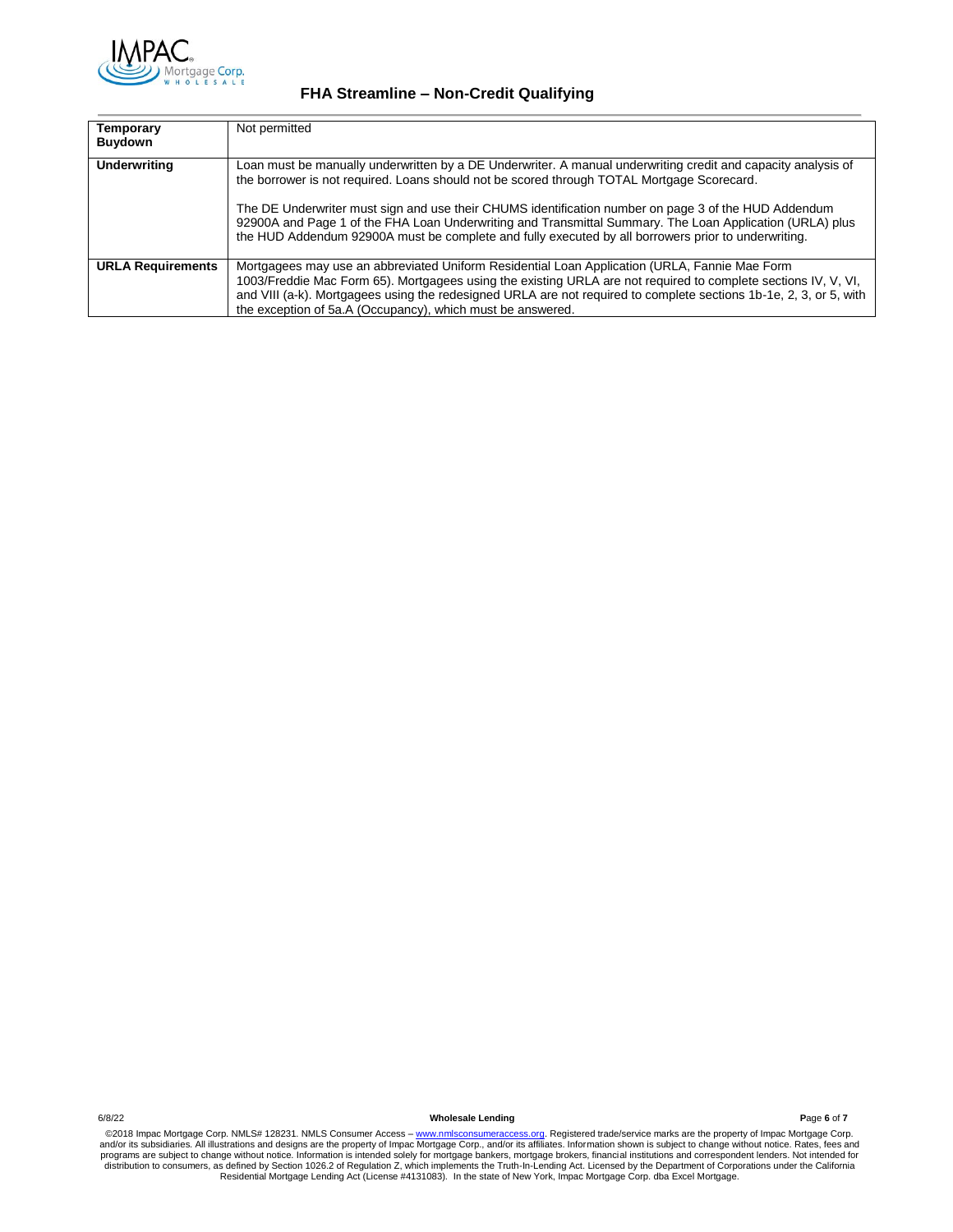

## **FHA Streamline – Non-Credit Qualifying**

| <b>Temporary</b><br><b>Buydown</b> | Not permitted                                                                                                                                                                                                                                                                                                                                                                                       |
|------------------------------------|-----------------------------------------------------------------------------------------------------------------------------------------------------------------------------------------------------------------------------------------------------------------------------------------------------------------------------------------------------------------------------------------------------|
| <b>Underwriting</b>                | Loan must be manually underwritten by a DE Underwriter. A manual underwriting credit and capacity analysis of<br>the borrower is not required. Loans should not be scored through TOTAL Mortgage Scorecard.                                                                                                                                                                                         |
|                                    | The DE Underwriter must sign and use their CHUMS identification number on page 3 of the HUD Addendum<br>92900A and Page 1 of the FHA Loan Underwriting and Transmittal Summary. The Loan Application (URLA) plus<br>the HUD Addendum 92900A must be complete and fully executed by all borrowers prior to underwriting.                                                                             |
| <b>URLA Requirements</b>           | Mortgagees may use an abbreviated Uniform Residential Loan Application (URLA, Fannie Mae Form<br>1003/Freddie Mac Form 65). Mortgagees using the existing URLA are not required to complete sections IV, V, VI,<br>and VIII (a-k). Mortgagees using the redesigned URLA are not required to complete sections 1b-1e, 2, 3, or 5, with<br>the exception of 5a.A (Occupancy), which must be answered. |

6/8/22 **Wholesale Lending P**age **6** of **7**